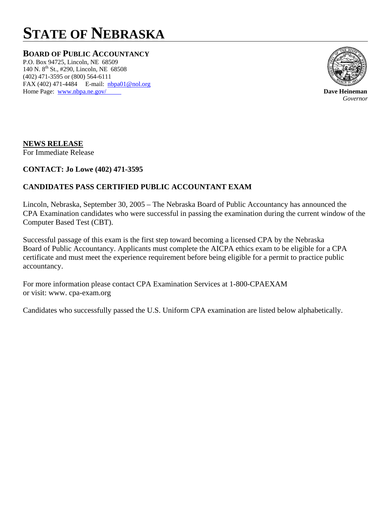# **STATE OF NEBRASKA**

**BOARD OF PUBLIC ACCOUNTANCY**

P.O. Box 94725, Lincoln, NE 68509 140 N. 8<sup>th</sup> St., #290, Lincoln, NE 68508 (402) 471-3595 or (800) 564-6111 FAX (402) 471-4484 E-mail: **nbpa01@nol.org** Home Page: www.nbpa.ne.gov/ **Dave Heineman** 



*Governor*

## **NEWS RELEASE**

For Immediate Release

#### **CONTACT: Jo Lowe (402) 471-3595**

## **CANDIDATES PASS CERTIFIED PUBLIC ACCOUNTANT EXAM**

Lincoln, Nebraska, September 30, 2005 – The Nebraska Board of Public Accountancy has announced the CPA Examination candidates who were successful in passing the examination during the current window of the Computer Based Test (CBT).

Successful passage of this exam is the first step toward becoming a licensed CPA by the Nebraska Board of Public Accountancy. Applicants must complete the AICPA ethics exam to be eligible for a CPA certificate and must meet the experience requirement before being eligible for a permit to practice public accountancy.

For more information please contact CPA Examination Services at 1-800-CPAEXAM or visit: www. cpa-exam.org

Candidates who successfully passed the U.S. Uniform CPA examination are listed below alphabetically.